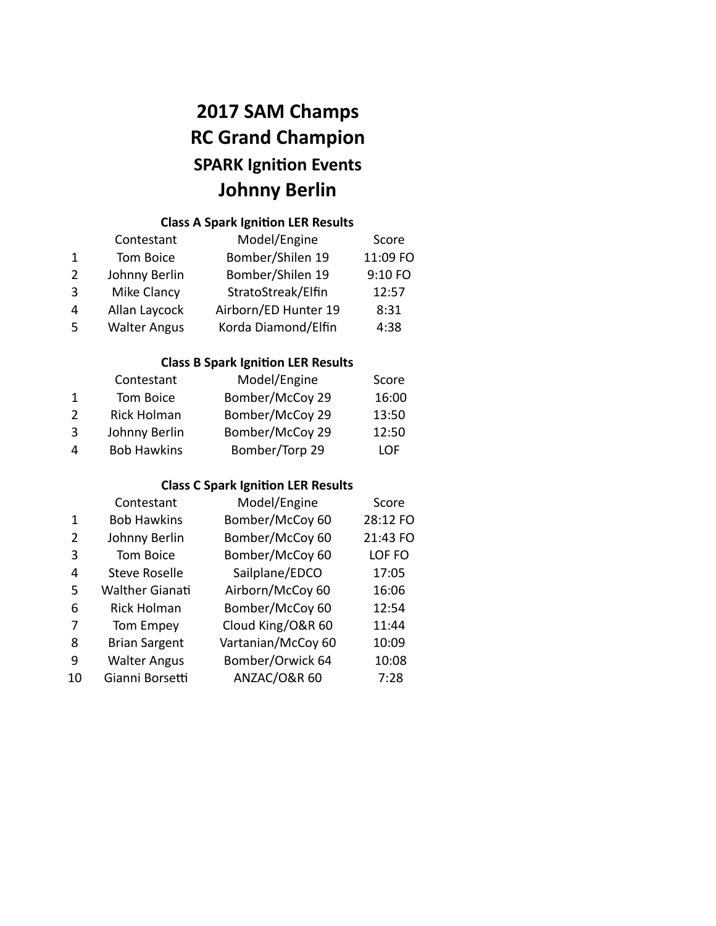# **2017 SAM Champs RC Grand Champion SPARK Ignition Events Johnny Berlin**

## **Class A Spark Ignition LER Results**

|               | Contestant          | Model/Engine         | Score    |
|---------------|---------------------|----------------------|----------|
|               | Tom Boice           | Bomber/Shilen 19     | 11:09 FO |
| $\mathcal{P}$ | Johnny Berlin       | Bomber/Shilen 19     | 9:10 FO  |
| $\mathbf{3}$  | <b>Mike Clancy</b>  | StratoStreak/Elfin   | 12:57    |
| 4             | Allan Laycock       | Airborn/ED Hunter 19 | 8:31     |
| -5            | <b>Walter Angus</b> | Korda Diamond/Elfin  | 4:38     |

### **Class B Spark Ignition LER Results**

|               | Contestant         | Model/Engine    | Score |
|---------------|--------------------|-----------------|-------|
|               | Tom Boice          | Bomber/McCoy 29 | 16:00 |
| $\mathcal{P}$ | <b>Rick Holman</b> | Bomber/McCoy 29 | 13:50 |
| $\mathbf{R}$  | Johnny Berlin      | Bomber/McCoy 29 | 12:50 |
| 4             | <b>Bob Hawkins</b> | Bomber/Torp 29  | I OF  |

## **Class C Spark Ignition LER Results**

|               | Contestant             | Model/Engine            | Score    |
|---------------|------------------------|-------------------------|----------|
| 1             | <b>Bob Hawkins</b>     | Bomber/McCoy 60         | 28:12 FO |
| $\mathfrak z$ | Johnny Berlin          | Bomber/McCoy 60         | 21:43 FO |
| 3             | <b>Tom Boice</b>       | Bomber/McCoy 60         | LOF FO   |
| 4             | <b>Steve Roselle</b>   | Sailplane/EDCO          | 17:05    |
| 5             | <b>Walther Gianati</b> | Airborn/McCoy 60        | 16:06    |
| 6             | <b>Rick Holman</b>     | Bomber/McCoy 60         | 12:54    |
| 7             | Tom Empey              | Cloud King/O&R 60       | 11:44    |
| 8             | <b>Brian Sargent</b>   | Vartanian/McCoy 60      | 10:09    |
| q             | <b>Walter Angus</b>    | Bomber/Orwick 64        | 10:08    |
| 10            | Gianni Borsetti        | <b>ANZAC/O&amp;R 60</b> | 7:28     |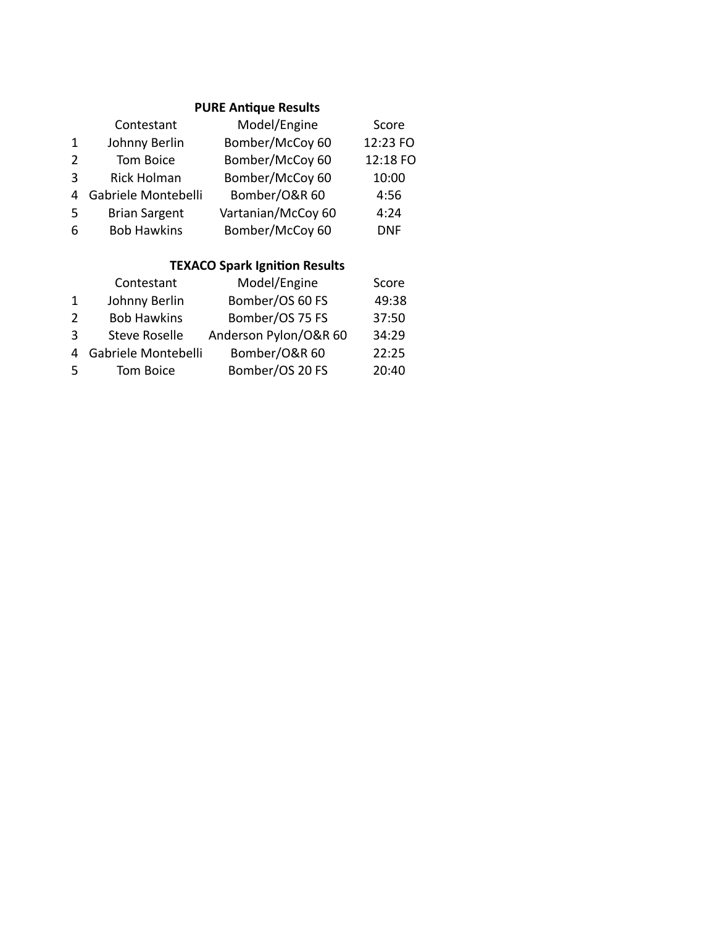#### **PURE Antique Results**

|   | Contestant           | Model/Engine       | Score      |
|---|----------------------|--------------------|------------|
| 1 | Johnny Berlin        | Bomber/McCoy 60    | 12:23 FO   |
| 2 | Tom Boice            | Bomber/McCoy 60    | 12:18 FO   |
| 3 | Rick Holman          | Bomber/McCoy 60    | 10:00      |
| 4 | Gabriele Montebelli  | Bomber/O&R 60      | 4:56       |
| 5 | <b>Brian Sargent</b> | Vartanian/McCoy 60 | 4:24       |
| 6 | <b>Bob Hawkins</b>   | Bomber/McCoy 60    | <b>DNF</b> |

## **TEXACO Spark Ignition Results**

|               | Contestant           | Model/Engine          | Score |
|---------------|----------------------|-----------------------|-------|
| 1             | Johnny Berlin        | Bomber/OS 60 FS       | 49:38 |
| $\mathcal{L}$ | <b>Bob Hawkins</b>   | Bomber/OS 75 FS       | 37:50 |
| ર             | <b>Steve Roselle</b> | Anderson Pylon/O&R 60 | 34:29 |
| 4             | Gabriele Montebelli  | Bomber/O&R 60         | 22:25 |
| -5            | Tom Boice            | Bomber/OS 20 FS       | 20:40 |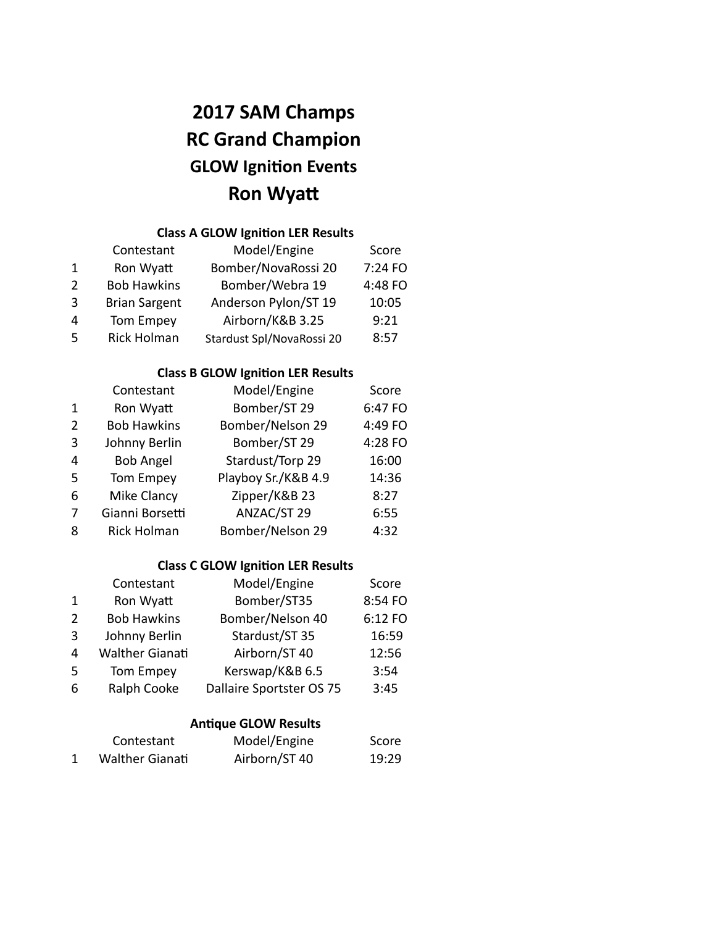# **2017 SAM Champs RC Grand Champion GLOW Ignition Events Ron Wyat**

## **Class A GLOW Ignition LER Results**

|               | Contestant           | Model/Engine              | Score   |
|---------------|----------------------|---------------------------|---------|
| 1             | Ron Wyatt            | Bomber/NovaRossi 20       | 7:24 FO |
| $\mathcal{L}$ | <b>Bob Hawkins</b>   | Bomber/Webra 19           | 4:48 FO |
| $\mathbf{R}$  | <b>Brian Sargent</b> | Anderson Pylon/ST 19      | 10:05   |
| 4             | Tom Empey            | Airborn/K&B 3.25          | 9:21    |
| -5            | <b>Rick Holman</b>   | Stardust Spl/NovaRossi 20 | 8:57    |

#### **Class B GLOW Ignition LER Results**

|               | Contestant         | Model/Engine        | Score   |
|---------------|--------------------|---------------------|---------|
| 1             | Ron Wyatt          | Bomber/ST 29        | 6:47 FO |
| $\mathcal{P}$ | <b>Bob Hawkins</b> | Bomber/Nelson 29    | 4:49 FO |
| 3             | Johnny Berlin      | Bomber/ST 29        | 4:28 FO |
| 4             | <b>Bob Angel</b>   | Stardust/Torp 29    | 16:00   |
| .5            | Tom Empey          | Playboy Sr./K&B 4.9 | 14:36   |
| 6             | Mike Clancy        | Zipper/K&B 23       | 8:27    |
| 7             | Gianni Borsetti    | ANZAC/ST 29         | 6:55    |
| 8             | <b>Rick Holman</b> | Bomber/Nelson 29    | 4:32    |

#### **Class C GLOW Ignition LER Results**

|              | Contestant             | Model/Engine             | Score   |
|--------------|------------------------|--------------------------|---------|
| $\mathbf{1}$ | Ron Wyatt              | Bomber/ST35              | 8:54 FO |
| 2            | <b>Bob Hawkins</b>     | Bomber/Nelson 40         | 6:12 FO |
| 3            | Johnny Berlin          | Stardust/ST 35           | 16:59   |
| 4            | <b>Walther Gianati</b> | Airborn/ST 40            | 12:56   |
| -5           | Tom Empey              | Kerswap/K&B 6.5          | 3:54    |
| 6            | Ralph Cooke            | Dallaire Sportster OS 75 | 3:45    |

#### **Antique GLOW Results**

| Contestant             | Model/Engine  | Score |
|------------------------|---------------|-------|
| <b>Walther Gianati</b> | Airborn/ST 40 | 19:29 |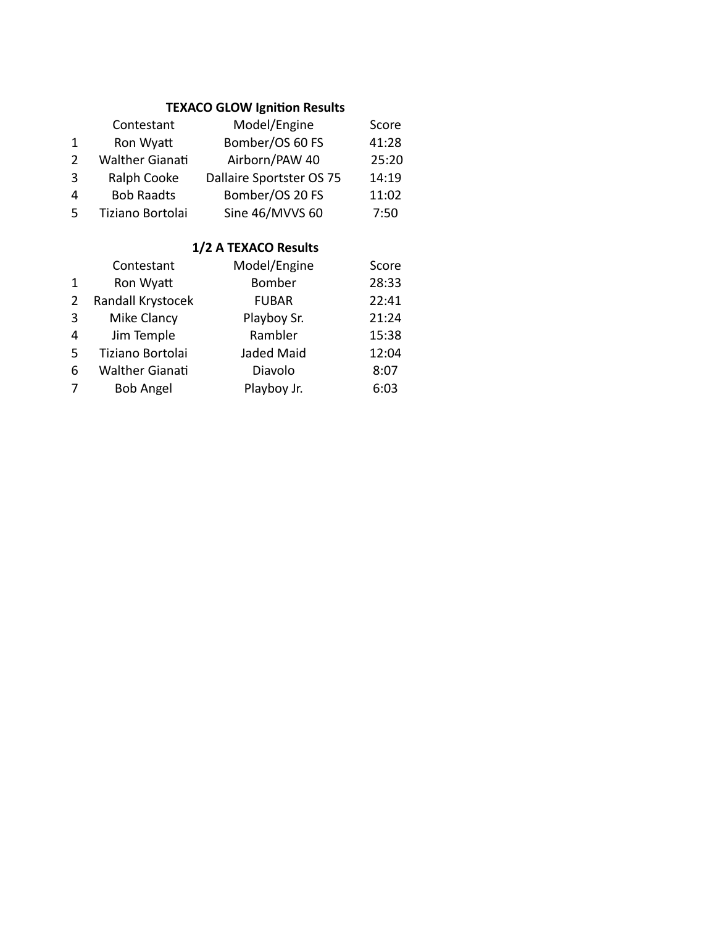## **TEXACO GLOW Ignition Results**

|               | Contestant             | Model/Engine             | Score |
|---------------|------------------------|--------------------------|-------|
|               | Ron Wyatt              | Bomber/OS 60 FS          | 41:28 |
| $\mathcal{P}$ | <b>Walther Gianati</b> | Airborn/PAW 40           | 25:20 |
| 3             | Ralph Cooke            | Dallaire Sportster OS 75 | 14:19 |
| 4             | <b>Bob Raadts</b>      | Bomber/OS 20 FS          | 11:02 |
| .5            | Tiziano Bortolai       | Sine 46/MVVS 60          | 7:50  |

#### **1/2 A TEXACO Results**

|              | Contestant             | Model/Engine | Score |
|--------------|------------------------|--------------|-------|
| $\mathbf{1}$ | Ron Wyatt              | Bomber       | 28:33 |
| 2            | Randall Krystocek      | <b>FUBAR</b> | 22:41 |
| 3            | Mike Clancy            | Playboy Sr.  | 21:24 |
| 4            | Jim Temple             | Rambler      | 15:38 |
| -5           | Tiziano Bortolai       | Jaded Maid   | 12:04 |
| 6            | <b>Walther Gianati</b> | Diavolo      | 8:07  |
| 7            | <b>Bob Angel</b>       | Playboy Jr.  | 6:03  |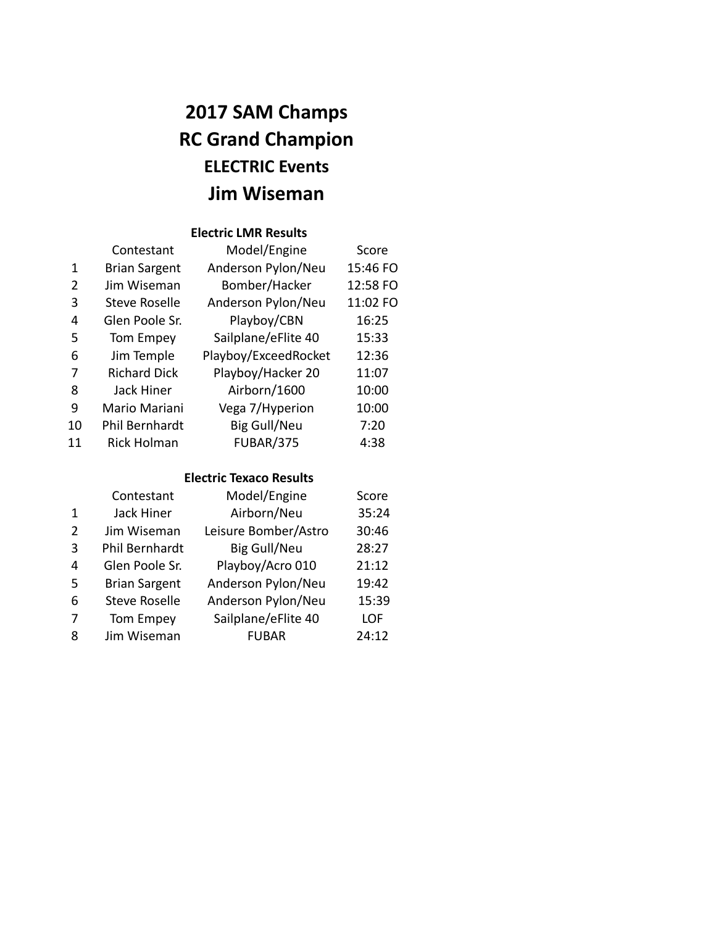# **2017 SAM Champs RC Grand Champion ELECTRIC Events Jim Wiseman**

#### **Electric LMR Results**

|    | Contestant           | Model/Engine         | Score    |
|----|----------------------|----------------------|----------|
| 1  | <b>Brian Sargent</b> | Anderson Pylon/Neu   | 15:46 FO |
| 2  | Jim Wiseman          | Bomber/Hacker        | 12:58 FO |
| 3  | <b>Steve Roselle</b> | Anderson Pylon/Neu   | 11:02 FO |
| 4  | Glen Poole Sr.       | Playboy/CBN          | 16:25    |
| 5  | Tom Empey            | Sailplane/eFlite 40  | 15:33    |
| 6  | Jim Temple           | Playboy/ExceedRocket | 12:36    |
| 7  | <b>Richard Dick</b>  | Playboy/Hacker 20    | 11:07    |
| 8  | Jack Hiner           | Airborn/1600         | 10:00    |
| 9  | Mario Mariani        | Vega 7/Hyperion      | 10:00    |
| 10 | Phil Bernhardt       | <b>Big Gull/Neu</b>  | 7:20     |
| 11 | Rick Holman          | <b>FUBAR/375</b>     | 4:38     |

### **Electric Texaco Results**

|               | Contestant           | Model/Engine         | Score |
|---------------|----------------------|----------------------|-------|
| 1             | Jack Hiner           | Airborn/Neu          | 35:24 |
| $\mathcal{P}$ | Jim Wiseman          | Leisure Bomber/Astro | 30:46 |
| 3             | Phil Bernhardt       | <b>Big Gull/Neu</b>  | 28:27 |
| 4             | Glen Poole Sr.       | Playboy/Acro 010     | 21:12 |
| .5            | <b>Brian Sargent</b> | Anderson Pylon/Neu   | 19:42 |
| 6             | <b>Steve Roselle</b> | Anderson Pylon/Neu   | 15:39 |
| 7             | Tom Empey            | Sailplane/eFlite 40  | LOF   |
| 8             | Jim Wiseman          | <b>FUBAR</b>         | 24:12 |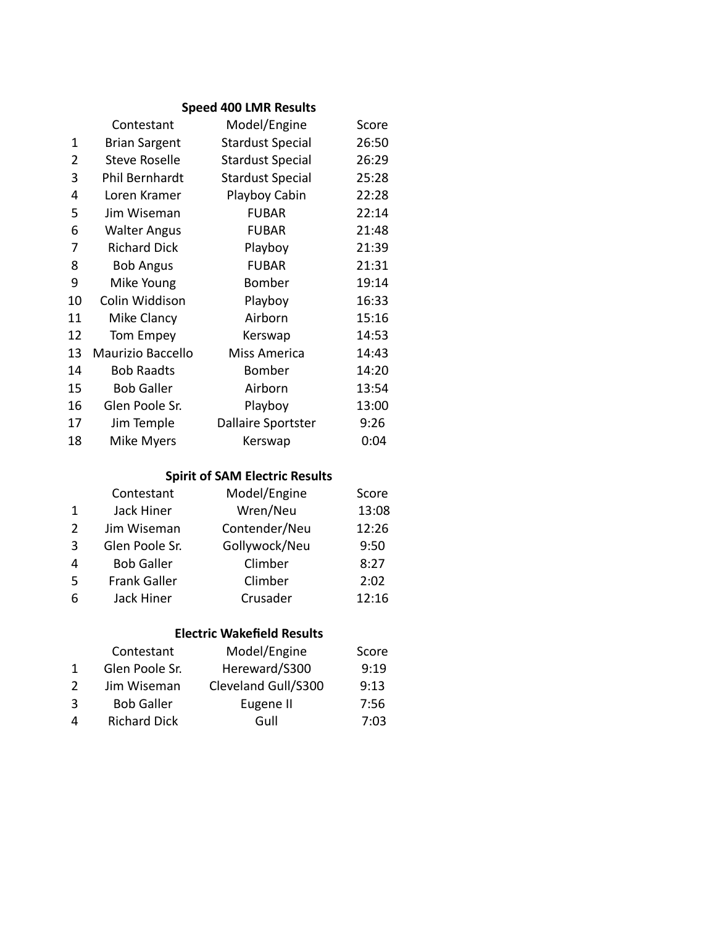## **Speed 400 LMR Results**

|                | Contestant               | Model/Engine              | Score |
|----------------|--------------------------|---------------------------|-------|
| 1              | <b>Brian Sargent</b>     | <b>Stardust Special</b>   | 26:50 |
| $\overline{2}$ | <b>Steve Roselle</b>     | <b>Stardust Special</b>   | 26:29 |
| 3              | Phil Bernhardt           | <b>Stardust Special</b>   | 25:28 |
| 4              | Loren Kramer             | Playboy Cabin             | 22:28 |
| 5              | Jim Wiseman              | <b>FUBAR</b>              | 22:14 |
| 6              | <b>Walter Angus</b>      | <b>FUBAR</b>              | 21:48 |
| 7              | <b>Richard Dick</b>      | Playboy                   | 21:39 |
| 8              | <b>Bob Angus</b>         | <b>FUBAR</b>              | 21:31 |
| 9              | Mike Young               | Bomber                    | 19:14 |
| 10             | Colin Widdison           | Playboy                   | 16:33 |
| 11             | Mike Clancy              | Airborn                   | 15:16 |
| 12             | Tom Empey                | Kerswap                   | 14:53 |
| 13             | <b>Maurizio Baccello</b> | Miss America              | 14:43 |
| 14             | <b>Bob Raadts</b>        | Bomber                    | 14:20 |
| 15             | <b>Bob Galler</b>        | Airborn                   | 13:54 |
| 16             | Glen Poole Sr.           | Playboy                   | 13:00 |
| 17             | Jim Temple               | <b>Dallaire Sportster</b> | 9:26  |
| 18             | Mike Myers               | Kerswap                   | 0:04  |
|                |                          |                           |       |

### **Spirit of SAM Electric Results**

|               | Contestant          | Model/Engine  | Score |
|---------------|---------------------|---------------|-------|
| 1             | Jack Hiner          | Wren/Neu      | 13:08 |
| $\mathcal{P}$ | Jim Wiseman         | Contender/Neu | 12:26 |
| 3             | Glen Poole Sr.      | Gollywock/Neu | 9:50  |
| 4             | <b>Bob Galler</b>   | Climber       | 8:27  |
| -5            | <b>Frank Galler</b> | Climber       | 2:02  |
| 6             | Jack Hiner          | Crusader      | 12:16 |

#### **Electric Wakefield Results**

|   | Contestant          | Model/Engine        | Score |
|---|---------------------|---------------------|-------|
|   | Glen Poole Sr.      | Hereward/S300       | 9:19  |
| 2 | Jim Wiseman         | Cleveland Gull/S300 | 9:13  |
| 3 | <b>Bob Galler</b>   | Eugene II           | 7:56  |
| 4 | <b>Richard Dick</b> | Gull                | 7:03  |
|   |                     |                     |       |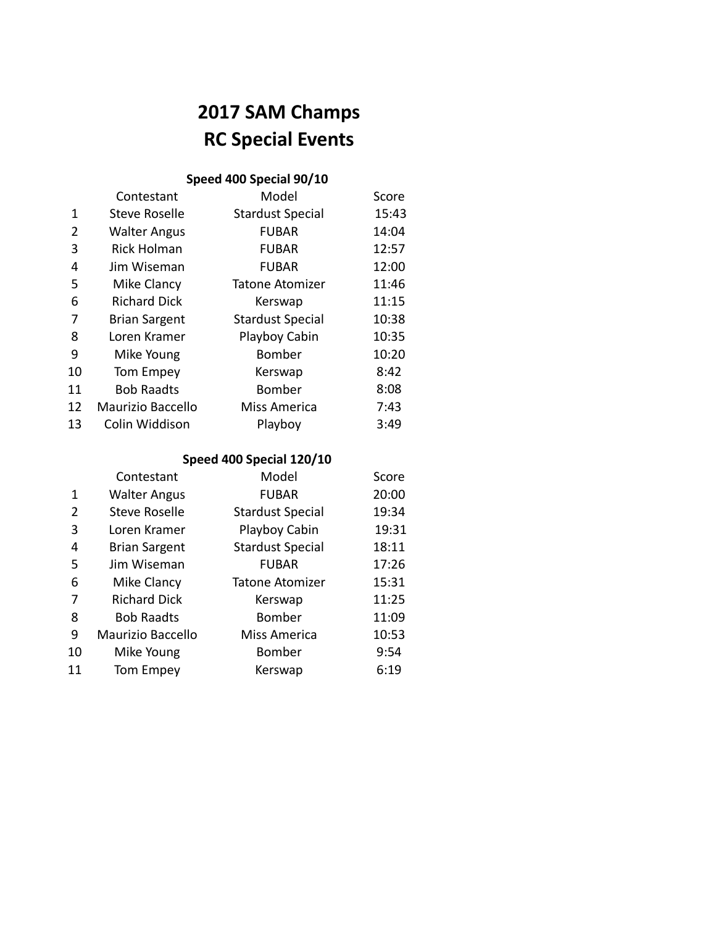# **2017 SAM Champs RC Special Events**

## **Speed 400 Special 90/10**

| Contestant           | Model                   | Score |
|----------------------|-------------------------|-------|
| Steve Roselle        | <b>Stardust Special</b> | 15:43 |
| <b>Walter Angus</b>  | <b>FUBAR</b>            | 14:04 |
| <b>Rick Holman</b>   | <b>FUBAR</b>            | 12:57 |
| Jim Wiseman          | <b>FUBAR</b>            | 12:00 |
| Mike Clancy          | <b>Tatone Atomizer</b>  | 11:46 |
| <b>Richard Dick</b>  | Kerswap                 | 11:15 |
| <b>Brian Sargent</b> | <b>Stardust Special</b> | 10:38 |
| Loren Kramer         | Playboy Cabin           | 10:35 |
| Mike Young           | <b>Bomber</b>           | 10:20 |
| Tom Empey            | Kerswap                 | 8:42  |
| <b>Bob Raadts</b>    | <b>Bomber</b>           | 8:08  |
| Maurizio Baccello    | Miss America            | 7:43  |
| Colin Widdison       | Playboy                 | 3:49  |
|                      |                         |       |

## **Speed 400 Special 120/10**

|    | Contestant           | Model                   | Score |
|----|----------------------|-------------------------|-------|
| 1  | <b>Walter Angus</b>  | <b>FUBAR</b>            | 20:00 |
| 2  | Steve Roselle        | <b>Stardust Special</b> | 19:34 |
| 3  | Loren Kramer         | Playboy Cabin           | 19:31 |
| 4  | <b>Brian Sargent</b> | <b>Stardust Special</b> | 18:11 |
| 5  | Jim Wiseman          | <b>FUBAR</b>            | 17:26 |
| 6  | Mike Clancy          | <b>Tatone Atomizer</b>  | 15:31 |
|    | <b>Richard Dick</b>  | Kerswap                 | 11:25 |
| 8  | <b>Bob Raadts</b>    | <b>Bomber</b>           | 11:09 |
| 9  | Maurizio Baccello    | Miss America            | 10:53 |
| 10 | Mike Young           | Bomber                  | 9:54  |
| 11 | Tom Empey            | Kerswap                 | 6:19  |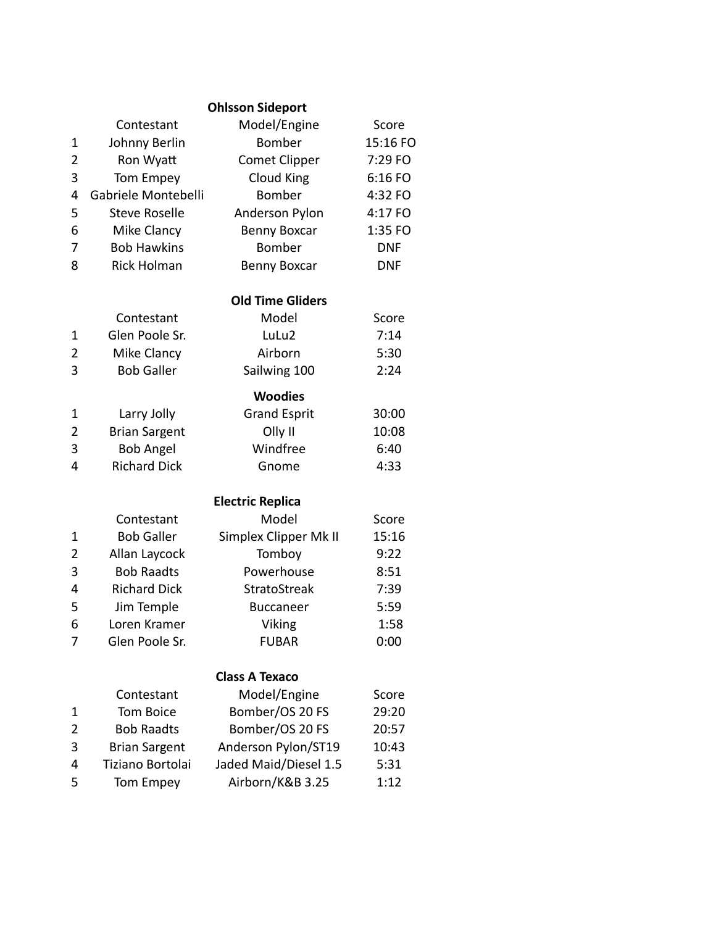|                |                         | <b>Ohlsson Sideport</b> |            |
|----------------|-------------------------|-------------------------|------------|
|                | Contestant              | Model/Engine            | Score      |
| 1              | Johnny Berlin           | Bomber                  | 15:16 FO   |
| 2              | Ron Wyatt               | <b>Comet Clipper</b>    | 7:29 FO    |
| 3              | Tom Empey               | <b>Cloud King</b>       | 6:16 FO    |
| 4              | Gabriele Montebelli     | Bomber                  | 4:32 FO    |
| 5              | <b>Steve Roselle</b>    | Anderson Pylon          | 4:17 FO    |
| 6              | Mike Clancy             | <b>Benny Boxcar</b>     | 1:35 FO    |
| 7              | <b>Bob Hawkins</b>      | <b>Bomber</b>           | <b>DNF</b> |
| 8              | <b>Rick Holman</b>      | <b>Benny Boxcar</b>     | <b>DNF</b> |
|                | <b>Old Time Gliders</b> |                         |            |
|                | Contestant              | Model                   | Score      |
| 1              | Glen Poole Sr.          | LuLu2                   | 7:14       |
| $\overline{2}$ | Mike Clancy             | Airborn                 | 5:30       |
| 3              | <b>Bob Galler</b>       | Sailwing 100            | 2:24       |
|                |                         | <b>Woodies</b>          |            |
| 1              | Larry Jolly             | <b>Grand Esprit</b>     | 30:00      |
| $\overline{2}$ | <b>Brian Sargent</b>    | Olly II                 | 10:08      |
| 3              | <b>Bob Angel</b>        | Windfree                | 6:40       |
| 4              | <b>Richard Dick</b>     | Gnome                   | 4:33       |
|                |                         | <b>Electric Replica</b> |            |
|                | Contestant              | Model                   | Score      |
| 1              | <b>Bob Galler</b>       | Simplex Clipper Mk II   | 15:16      |
| $\overline{2}$ | Allan Laycock           | Tomboy                  | 9:22       |
| 3              | <b>Bob Raadts</b>       | Powerhouse              | 8:51       |
| 4              | <b>Richard Dick</b>     | StratoStreak            | 7:39       |
| 5              | Jim Temple              | <b>Buccaneer</b>        | 5:59       |
| ∼<br>ь         | Loren Kramer            | Viking                  | 1:58       |
| 7              | Glen Poole Sr.          | <b>FUBAR</b>            | 0:00       |
|                |                         | <b>Class A Texaco</b>   |            |
|                | Contestant              | Model/Engine            | Score      |
| 1              | Tom Boice               | Bomber/OS 20 FS         | 29:20      |
| 2              | <b>Bob Raadts</b>       | Bomber/OS 20 FS         | 20:57      |
| 3              | <b>Brian Sargent</b>    | Anderson Pylon/ST19     | 10:43      |
| 4              | Tiziano Bortolai        | Jaded Maid/Diesel 1.5   | 5:31       |
| 5              | Tom Empey               | Airborn/K&B 3.25        | 1:12       |